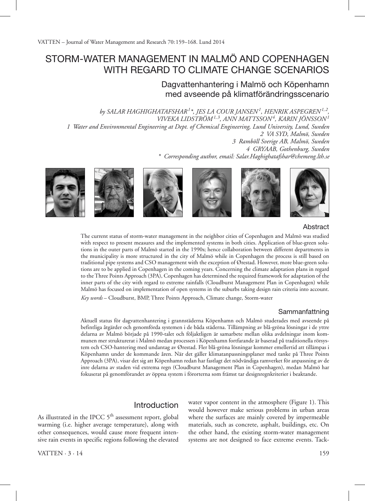# Storm-water management in Malmö and Copenhagen WITH REGARD TO CLIMATE CHANGE SCENARIOS

## Dagvattenhantering i Malmö och Köpenhamn med avseende på klimatförändringsscenario

*by Salar Haghighatafshar<sup>1</sup> \*, Jes la Cour Jansen<sup>1</sup> , Henrik Aspegren1, <sup>2</sup> , Viveka Lidström1, <sup>3</sup> , Ann Mattsson<sup>4</sup> , Karin Jönsson<sup>1</sup> 1 Water and Environmental Engineering at Dept. of Chemical Engineering, Lund University, Lund, Sweden 2 VA SYD, Malmö, Sweden 3 Ramböll Sverige AB, Malmö, Sweden 4 GRYAAB, Gothenburg, Sweden*

*\* Corresponding author, email: Salar.Haghighatafshar@chemeng.lth.se*



#### Abstract

The current status of storm-water management in the neighbor cities of Copenhagen and Malmö was studied with respect to present measures and the implemented systems in both cities. Application of blue-green solutions in the outer parts of Malmö started in the 1990s; hence collaboration between different departments in the municipality is more structured in the city of Malmö while in Copenhagen the process is still based on traditional pipe systems and CSO management with the exception of Ørestad. However, more blue-green solutions are to be applied in Copenhagen in the coming years. Concerning the climate adaptation plans in regard to the Three Points Approach (3PA), Copenhagen has determined the required framework for adaptation of the inner parts of the city with regard to extreme rainfalls (Cloudburst Management Plan in Copenhagen) while Malmö has focused on implementation of open systems in the suburbs taking design rain criteria into account. *Key words* – Cloudburst, BMP, Three Points Approach, Climate change, Storm-water

#### Sammanfattning

Aktuell status för dagvattenhantering i grannstäderna Köpenhamn och Malmö studerades med avseende på befintliga åtgärder och genomförda systemen i de båda städerna. Tillämpning av blå-gröna lösningar i de yttre delarna av Malmö började på 1990-talet och följaktligen är samarbete mellan olika avdelningar inom kommunen mer strukturerat i Malmö medan processen i Köpenhamn fortfarande är baserad på traditionella rörsystem och CSO-hantering med undantag av Ørestad. Fler blå-gröna lösningar kommer emellertid att tillämpas i Köpenhamn under de kommande åren. När det gäller klimatanpassningsplaner med tanke på Three Points Approach (3PA), visar det sig att Köpenhamn redan har fastlagt det nödvändiga ramverket för anpassning av de inre delarna av staden vid extrema regn (Cloudburst Management Plan in Copenhagen), medan Malmö har fokuserat på genomförandet av öppna system i förorterna som främst tar designregnkriterier i beaktande.

### Introduction

As illustrated in the IPCC  $5<sup>th</sup>$  assessment report, global warming (i.e. higher average temperature), along with other consequences, would cause more frequent intensive rain events in specific regions following the elevated water vapor content in the atmosphere (Figure 1). This would however make serious problems in urban areas where the surfaces are mainly covered by impermeable materials, such as concrete, asphalt, buildings, etc. On the other hand, the existing storm-water management systems are not designed to face extreme events. Tack-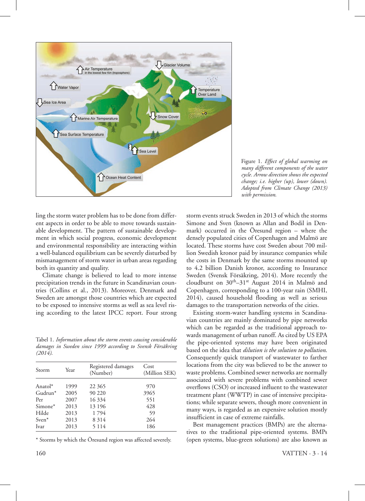

Figure 1. *Effect of global warming on many different components of the water cycle. Arrow direction shows the expected change; i.e. higher (up), lower (down). Adopted from Climate Change (2013) with permission*.

ling the storm water problem has to be done from different aspects in order to be able to move towards sustainable development. The pattern of sustainable development in which social progress, economic development and environmental responsibility are interacting within a well-balanced equilibrium can be severely disturbed by mismanagement of storm water in urban areas regarding both its quantity and quality.

Climate change is believed to lead to more intense precipitation trends in the future in Scandinavian countries (Collins et al., 2013). Moreover, Denmark and Sweden are amongst those countries which are expected to be exposed to intensive storms as well as sea level rising according to the latest IPCC report. Four strong

Tabel 1. *Information about the storm events causing considerable damages in Sweden since 1999 according to Svensk Försäkring (2014)*.

| Storm      | Year | Registered damages<br>(Number) | Cost<br>(Million SEK) |  |  |
|------------|------|--------------------------------|-----------------------|--|--|
| Anatol*    | 1999 | 22 3 65                        | 970                   |  |  |
| $Gudrun*$  | 2005 | 90 220                         | 3965                  |  |  |
| Per        | 2007 | 16 3 34                        | 551                   |  |  |
| $Simone^*$ | 2013 | 13 196                         | 428                   |  |  |
| Hilde      | 2013 | 1794                           | 59                    |  |  |
| $Sven*$    | 2013 | 8 3 1 4                        | 264                   |  |  |
| Ivar       | 2013 | 5 1 1 4                        | 186                   |  |  |
|            |      |                                |                       |  |  |

\* Storms by which the Öresund region was affected severely.

storm events struck Sweden in 2013 of which the storms Simone and Sven (known as Allan and Bodil in Denmark) occurred in the Öresund region – where the densely populated cities of Copenhagen and Malmö are located. These storms have cost Sweden about 700 million Swedish kronor paid by insurance companies while the costs in Denmark by the same storms mounted up to 4.2 billion Danish kronor, according to Insurance Sweden (Svensk Försäkring, 2014). More recently the cloudburst on  $30^{th} - 31^{st}$  August 2014 in Malmö and Copenhagen, corresponding to a 100-year rain (SMHI, 2014), caused household flooding as well as serious damages to the transportation networks of the cities.

Existing storm-water handling systems in Scandinavian countries are mainly dominated by pipe networks which can be regarded as the traditional approach towards management of urban runoff. As cited by US EPA the pipe-oriented systems may have been originated based on the idea that *dilution is the solution to pollution*. Consequently quick transport of wastewater to farther locations from the city was believed to be the answer to waste problems. Combined sewer networks are normally associated with severe problems with combined sewer overflows (CSO) or increased influent to the wastewater treatment plant (WWTP) in case of intensive precipitations; while separate sewers, though more convenient in many ways, is regarded as an expensive solution mostly insufficient in case of extreme rainfalls.

Best management practices (BMPs) are the alternatives to the traditional pipe-oriented systems. BMPs (open systems, blue-green solutions) are also known as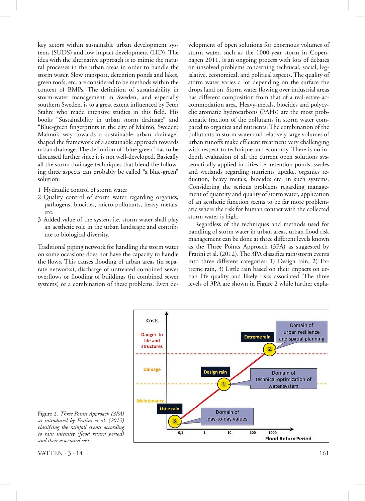key actors within sustainable urban development systems (SUDS) and low impact development (LID). The idea with the alternative approach is to mimic the natural processes in the urban areas in order to handle the storm water. Slow transport, detention ponds and lakes, green roofs, etc. are considered to be methods within the context of BMPs. The definition of sustainability in storm-water management in Sweden, and especially southern Sweden, is to a great extent influenced by Peter Stahre who made intensive studies in this field. His books "Sustainability in urban storm drainage" and "Blue-green fingerprints in the city of Malmö, Sweden: Malmö's way towards a sustainable urban drainage" shaped the framework of a sustainable approach towards urban drainage. The definition of "blue-green" has to be discussed further since it is not well-developed. Basically all the storm drainage techniques that blend the following three aspects can probably be called "a blue-green" solution:

- 1 Hydraulic control of storm water
- 2 Quality control of storm water regarding organics, pathogens, biocides, micro-pollutants, heavy metals, etc.
- 3 Added value of the system i.e. storm water shall play an aesthetic role in the urban landscape and contribute to biological diversity.

Traditional piping network for handling the storm water on some occasions does not have the capacity to handle the flows. This causes flooding of urban areas (in separate networks), discharge of untreated combined sewer overflows or flooding of buildings (in combined sewer systems) or a combination of these problems. Even development of open solutions for enormous volumes of storm water, such as the 1000-year storm in Copenhagen 2011, is an ongoing process with lots of debates on unsolved problems concerning technical, social, legislative, economical, and political aspects. The quality of storm water varies a lot depending on the surface the drops land on. Storm water flowing over industrial areas has different composition from that of a real-estate accommodation area. Heavy-metals, biocides and polycyclic aromatic hydrocarbons (PAHs) are the most problematic fraction of the pollutants in storm water compared to organics and nutrients. The combination of the pollutants in storm water and relatively large volumes of urban runoffs make efficient treatment very challenging with respect to technique and economy. There is no indepth evaluation of all the current open solutions systematically applied in cities i.e. retention ponds, swales and wetlands regarding nutrients uptake, organics reduction, heavy metals, biocides etc. in such systems. Considering the serious problems regarding management of quantity and quality of storm water, application of an aesthetic function seems to be far more problematic where the risk for human contact with the collected storm water is high.

Regardless of the techniques and methods used for handling of storm water in urban areas, urban flood risk management can be done at three different levels known as the Three Points Approach (3PA) as suggested by Fratini et al. (2012). The 3PA classifies rain/storm events into three different categories: 1) Design rain, 2) Extreme rain, 3) Little rain based on their impacts on urban life quality and likely risks associated. The three levels of 3PA are shown in Figure 2 while further expla-



Figure 2. *Three Points Approach (3PA) as introduced by Fratini et al. (2012) classifying the rainfall events according to rain intensity (flood return period) and their associated costs.*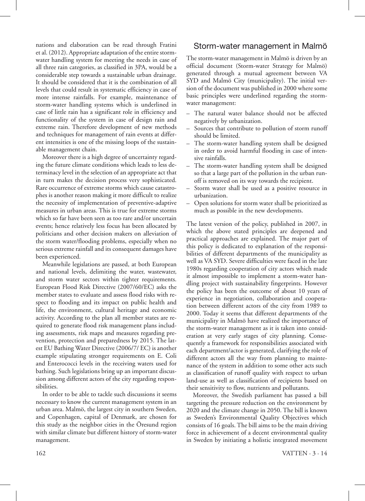nations and elaboration can be read through Fratini et al. (2012). Appropriate adaptation of the entire stormwater handling system for meeting the needs in case of all three rain categories, as classified in 3PA, would be a considerable step towards a sustainable urban drainage. It should be considered that it is the combination of all levels that could result in systematic efficiency in case of more intense rainfalls. For example, maintenance of storm-water handling systems which is underlined in case of little rain has a significant role in efficiency and functionality of the system in case of design rain and extreme rain. Therefore development of new methods and techniques for management of rain events at different intensities is one of the missing loops of the sustainable management chain.

Moreover there is a high degree of uncertainty regarding the future climate conditions which leads to less determinacy level in the selection of an appropriate act that in turn makes the decision process very sophisticated. Rare occurrence of extreme storms which cause catastrophes is another reason making it more difficult to realize the necessity of implementation of preventive-adaptive measures in urban areas. This is true for extreme storms which so far have been seen as too rare and/or uncertain events; hence relatively less focus has been allocated by politicians and other decision makers on alleviation of the storm water/flooding problems, especially when no serious extreme rainfall and its consequent damages have been experienced.

Meanwhile legislations are passed, at both European and national levels, delimiting the water, wastewater, and storm water sectors within tighter requirements. European Flood Risk Directive (2007/60/EC) asks the member states to evaluate and assess flood risks with respect to flooding and its impact on public health and life, the environment, cultural heritage and economic activity. According to the plan all member states are required to generate flood risk management plans including assessments, risk maps and measures regarding prevention, protection and preparedness by 2015. The latest EU Bathing Water Directive (2006/7/ EC) is another example stipulating stronger requirements on E. Coli and Enterococci levels in the receiving waters used for bathing. Such legislations bring up an important discussion among different actors of the city regarding responsibilities.

In order to be able to tackle such discussions it seems necessary to know the current management system in an urban area. Malmö, the largest city in southern Sweden, and Copenhagen, capital of Denmark, are chosen for this study as the neighbor cities in the Öresund region with similar climate but different history of storm-water management.

#### Storm-water management in Malmö

The storm-water management in Malmö is driven by an official document (Storm-water Strategy for Malmö) generated through a mutual agreement between VA SYD and Malmö City (municipality). The initial version of the document was published in 2000 where some basic principles were underlined regarding the stormwater management:

- The natural water balance should not be affected negatively by urbanization.
- Sources that contribute to pollution of storm runoff should be limited.
- The storm-water handling system shall be designed in order to avoid harmful flooding in case of intensive rainfalls.
- The storm-water handling system shall be designed so that a large part of the pollution in the urban runoff is removed on its way towards the recipient.
- Storm water shall be used as a positive resource in urbanization.
- Open solutions for storm water shall be prioritized as much as possible in the new developments.

The latest version of the policy, published in 2007, in which the above stated principles are deepened and practical approaches are explained. The major part of this policy is dedicated to explanation of the responsibilities of different departments of the municipality as well as VA SYD. Severe difficulties were faced in the late 1980s regarding cooperation of city actors which made it almost impossible to implement a storm-water handling project with sustainability fingerprints. However the policy has been the outcome of about 10 years of experience in negotiation, collaboration and cooperation between different actors of the city from 1989 to 2000. Today it seems that different departments of the municipality in Malmö have realized the importance of the storm-water management as it is taken into consideration at very early stages of city planning. Consequently a framework for responsibilities associated with each department/actor is generated, clarifying the role of different actors all the way from planning to maintenance of the system in addition to some other acts such as classification of runoff quality with respect to urban land-use as well as classification of recipients based on their sensitivity to flow, nutrients and pollutants.

Moreover, the Swedish parliament has passed a bill targeting the pressure reduction on the environment by 2020 and the climate change in 2050. The bill is known as Sweden's Environmental Quality Objectives which consists of 16 goals. The bill aims to be the main driving force in achievement of a decent environmental quality in Sweden by initiating a holistic integrated movement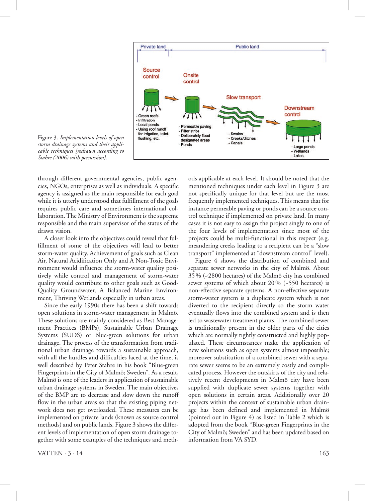

Figure 3. *Implementation levels of open storm drainage systems and their applicable techniques [redrawn according to Stahre (2006) with permission]*.

through different governmental agencies, public agencies, NGOs, enterprises as well as individuals. A specific agency is assigned as the main responsible for each goal while it is utterly understood that fulfillment of the goals requires public care and sometimes international collaboration. The Ministry of Environment is the supreme responsible and the main supervisor of the status of the drawn vision.

A closer look into the objectives could reveal that fulfillment of some of the objectives will lead to better storm-water quality. Achievement of goals such as Clean Air, Natural Acidification Only and A Non-Toxic Environment would influence the storm-water quality positively while control and management of storm-water quality would contribute to other goals such as Good-Quality Groundwater, A Balanced Marine Environment, Thriving Wetlands especially in urban areas.

Since the early 1990s there has been a shift towards open solutions in storm-water management in Malmö. These solutions are mainly considered as Best Management Practices (BMPs), Sustainable Urban Drainage Systems (SUDS) or Blue-green solutions for urban drainage. The process of the transformation from traditional urban drainage towards a sustainable approach, with all the hurdles and difficulties faced at the time, is well described by Peter Stahre in his book "Blue-green Fingerprints in the City of Malmö; Sweden". As a result, Malmö is one of the leaders in application of sustainable urban drainage systems in Sweden. The main objectives of the BMP are to decrease and slow down the runoff flow in the urban areas so that the existing piping network does not get overloaded. These measures can be implemented on private lands (known as source control methods) and on public lands. Figure 3 shows the different levels of implementation of open storm drainage together with some examples of the techniques and meth-

 $VATTEN \cdot 3 \cdot 14$  163

ods applicable at each level. It should be noted that the mentioned techniques under each level in Figure 3 are not specifically unique for that level but are the most frequently implemented techniques. This means that for instance permeable paving or ponds can be a source control technique if implemented on private land. In many cases it is not easy to assign the project singly to one of the four levels of implementation since most of the projects could be multi-functional in this respect (e.g. meandering creeks leading to a recipient can be a "slow transport" implemented at "downstream control" level).

Figure 4 shows the distribution of combined and separate sewer networks in the city of Malmö. About 35% (~2800 hectares) of the Malmö city has combined sewer systems of which about 20% (~550 hectares) is non-effective separate systems. A non-effective separate storm-water system is a duplicate system which is not diverted to the recipient directly so the storm water eventually flows into the combined system and is then led to wastewater treatment plants. The combined sewer is traditionally present in the older parts of the cities which are normally tightly constructed and highly populated. These circumstances make the application of new solutions such as open systems almost impossible; moreover substitution of a combined sewer with a separate sewer seems to be an extremely costly and complicated process. However the outskirts of the city and relatively recent developments in Malmö city have been supplied with duplicate sewer systems together with open solutions in certain areas. Additionally over 20 projects within the context of sustainable urban drainage has been defined and implemented in Malmö (pointed out in Figure 4) as listed in Table 2 which is adopted from the book "Blue-green Fingerprints in the City of Malmö; Sweden" and has been updated based on information from VA SYD.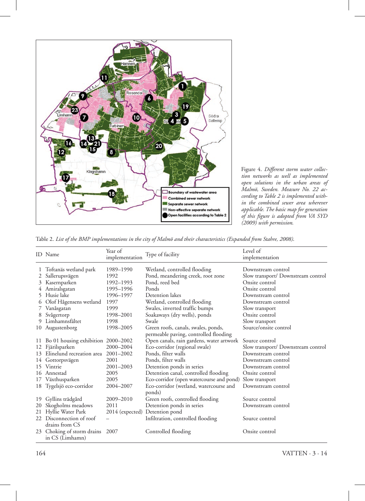![](_page_5_Figure_0.jpeg)

Figure 4. *Different storm water collection networks as well as implemented open solutions in the urban areas of Malmö, Sweden. Measure No. 22 according to Table 2 is implemented within the combined sewer area wherever applicable. The basic map for generation of this figure is adopted from VA SYD (2009) with permission*.

|   | ID Name                                            | Year of<br>implementation | Type of facility                                                             | Level of<br>implementation         |
|---|----------------------------------------------------|---------------------------|------------------------------------------------------------------------------|------------------------------------|
|   | 1 Toftanäs wetland park                            | 1989-1990                 | Wetland, controlled flooding                                                 | Downstream control                 |
|   | Sallerupsvägen                                     | 1992                      | Pond, meandering creek, root zone                                            | Slow transport/ Downstream control |
| 3 | Kasernparken                                       | 1992-1993                 | Pond, reed bed                                                               | Onsite control                     |
|   | 4 Amiralsgatan                                     | 1995-1996                 | Ponds                                                                        | Onsite control                     |
|   | 5 Husie lake                                       | 1996-1997                 | Detention lakes                                                              | Downstream control                 |
|   | Olof Hågensens wetland                             | 1997                      | Wetland, controlled flooding                                                 | Downstream control                 |
|   | Vanåsgatan                                         | 1999                      | Swales, inverted traffic bumps                                               | Slow transport                     |
| 8 | Svågertorp                                         | 1998-2001                 | Soakaways (dry wells), ponds                                                 | Onsite control                     |
|   | 9 Limhamnsfältet                                   | 1998                      | Swale                                                                        | Slow transport                     |
|   | 10 Augustenborg                                    | 1998-2005                 | Green roofs, canals, swales, ponds,<br>permeable paving, controlled flooding | Source/onsite control              |
|   | 11 Bo 01 housing exhibition 2000–2002              |                           | Open canals, rain gardens, water artwork                                     | Source control                     |
|   | 12 Fjärilsparken                                   | 2000-2004                 | Eco-corridor (regional swale)                                                | Slow transport/ Downstream control |
|   | 13 Elinelund recreation area                       | 2001-2002                 | Ponds, filter walls                                                          | Downstream control                 |
|   | 14 Gottorpsvägen                                   | 2001                      | Ponds, filter walls                                                          | Downstream control                 |
|   | 15 Vintrie                                         | 2001-2003                 | Detention ponds in series                                                    | Downstream control                 |
|   | 16 Annestad                                        | 2005                      | Detention canal, controlled flooding                                         | Onsite control                     |
|   | 17 Växthusparken                                   | 2005                      | Eco-corridor (open watercourse and pond) Slow transport                      |                                    |
|   | 18 Tygelsjö eco-corridor                           | 2004-2007                 | Eco-corridor (wetland, watercourse and<br>ponds)                             | Downstream control                 |
|   | 19 Gyllins trädgård                                | 2009-2010                 | Green roofs, controlled flooding                                             | Source control                     |
|   | 20 Skogholms meadows                               | 2011                      | Detention ponds in series                                                    | Downstream control                 |
|   | 21 Hyllie Water Park                               |                           | 2014 (expected) Detention pond                                               |                                    |
|   | 22 Disconnection of roof                           | $\overline{\phantom{0}}$  | Infiltration, controlled flooding                                            | Source control                     |
|   | drains from CS                                     |                           |                                                                              |                                    |
|   | 23 Choking of storm drains 2007<br>in CS (Limhamn) |                           | Controlled flooding                                                          | Onsite control                     |
|   |                                                    |                           |                                                                              |                                    |

Table 2. *List of the BMP implementations in the city of Malmö and their characteristics (Expanded from Stahre, 2008)*.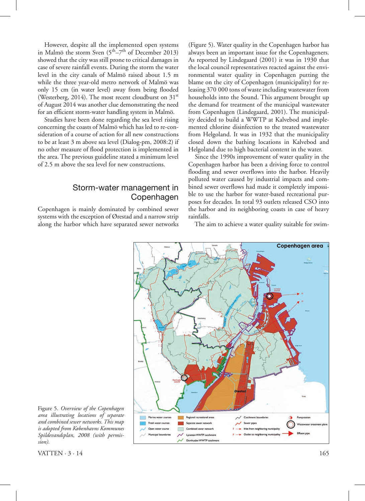However, despite all the implemented open systems in Malmö the storm Sven  $(5<sup>th</sup> - 7<sup>th</sup>$  of December 2013) showed that the city was still prone to critical damages in case of severe rainfall events. During the storm the water level in the city canals of Malmö raised about 1.5 m while the three year-old metro network of Malmö was only 15 cm (in water level) away from being flooded (Westerberg, 2014). The most recent cloudburst on  $31<sup>st</sup>$ of August 2014 was another clue demonstrating the need for an efficient storm-water handling system in Malmö.

Studies have been done regarding the sea level rising concerning the coasts of Malmö which has led to re-consideration of a course of action for all new constructions to be at least 3 m above sea level (Dialog-pm, 2008:2) if no other measure of flood protection is implemented in the area. The previous guideline stated a minimum level of 2.5 m above the sea level for new constructions.

### Storm-water management in Copenhagen

Copenhagen is mainly dominated by combined sewer systems with the exception of Ørestad and a narrow strip along the harbor which have separated sewer networks

(Figure 5). Water quality in the Copenhagen harbor has always been an important issue for the Copenhageners. As reported by Lindegaard (2001) it was in 1930 that the local council representatives reacted against the environmental water quality in Copenhagen putting the blame on the city of Copenhagen (municipality) for releasing 370 000 tons of waste including wastewater from households into the Sound. This argument brought up the demand for treatment of the municipal wastewater from Copenhagen (Lindegaard, 2001). The municipality decided to build a WWTP at Kalvebod and implemented chlorine disinfection to the treated wastewater from Helgoland. It was in 1932 that the municipality closed down the bathing locations in Kalvebod and Helgoland due to high bacterial content in the water.

Since the 1990s improvement of water quality in the Copenhagen harbor has been a driving force to control flooding and sewer overflows into the harbor. Heavily polluted water caused by industrial impacts and combined sewer overflows had made it completely impossible to use the harbor for water-based recreational purposes for decades. In total 93 outlets released CSO into the harbor and its neighboring coasts in case of heavy rainfalls.

The aim to achieve a water quality suitable for swim-

![](_page_6_Figure_7.jpeg)

![](_page_6_Figure_8.jpeg)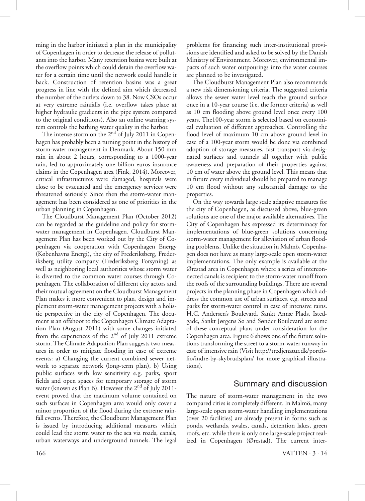ming in the harbor initiated a plan in the municipality of Copenhagen in order to decrease the release of pollutants into the harbor. Many retention basins were built at the overflow points which could detain the overflow water for a certain time until the network could handle it back. Construction of retention basins was a great progress in line with the defined aim which decreased the number of the outlets down to 38. Now CSOs occur at very extreme rainfalls (i.e. overflow takes place at higher hydraulic gradients in the pipe system compared to the original conditions). Also an online warning system controls the bathing water quality in the harbor.

The intense storm on the  $2<sup>nd</sup>$  of July 2011 in Copenhagen has probably been a turning point in the history of storm-water management in Denmark. About 150 mm rain in about 2 hours, corresponding to a 1000-year rain, led to approximately one billion euros insurance claims in the Copenhagen area (Fink, 2014). Moreover, critical infrastructures were damaged, hospitals were close to be evacuated and the emergency services were threatened seriously. Since then the storm-water management has been considered as one of priorities in the urban planning in Copenhagen.

The Cloudburst Management Plan (October 2012) can be regarded as the guideline and policy for stormwater management in Copenhagen. Cloudburst Management Plan has been worked out by the City of Copenhagen via cooperation with Copenhagen Energy (Københavns Energi), the city of Frederiksberg, Frederiksberg utility company (Frederiksberg Forsyning) as well as neighboring local authorities whose storm water is diverted to the common water courses through Copenhagen. The collaboration of different city actors and their mutual agreement on the Cloudburst Management Plan makes it more convenient to plan, design and implement storm-water management projects with a holistic perspective in the city of Copenhagen. The document is an offshoot to the Copenhagen Climate Adaptation Plan (August 2011) with some changes initiated from the experiences of the  $2<sup>nd</sup>$  of July 2011 extreme storm. The Climate Adaptation Plan suggests two measures in order to mitigate flooding in case of extreme events: a) Changing the current combined sewer network to separate network (long-term plan), b) Using public surfaces with low sensitivity e.g. parks, sport fields and open spaces for temporary storage of storm water (known as Plan B). However the  $2<sup>nd</sup>$  of July 2011event proved that the maximum volume contained on such surfaces in Copenhagen area would only cover a minor proportion of the flood during the extreme rainfall events. Therefore, the Cloudburst Management Plan is issued by introducing additional measures which could lead the storm water to the sea via roads, canals, urban waterways and underground tunnels. The legal problems for financing such inter-institutional provisions are identified and asked to be solved by the Danish Ministry of Environment. Moreover, environmental impacts of such water outpourings into the water courses are planned to be investigated.

The Cloudburst Management Plan also recommends a new risk dimensioning criteria. The suggested criteria allows the sewer water level reach the ground surface once in a 10-year course (i.e. the former criteria) as well as 10 cm flooding above ground level once every 100 years. The100-year storm is selected based on economical evaluation of different approaches. Controlling the flood level of maximum 10 cm above ground level in case of a 100-year storm would be done via combined adoption of storage measures, fast transport via designated surfaces and tunnels all together with public awareness and preparation of their properties against 10 cm of water above the ground level. This means that in future every individual should be prepared to manage 10 cm flood without any substantial damage to the properties.

On the way towards large scale adaptive measures for the city of Copenhagen, as discussed above, blue-green solutions are one of the major available alternatives. The City of Copenhagen has expressed its determinacy for implementations of blue-green solutions concerning storm-water management for alleviation of urban flooding problems. Unlike the situation in Malmö, Copenhagen does not have as many large-scale open storm-water implementations. The only example is available at the Ørestad area in Copenhagen where a series of interconnected canals is recipient to the storm-water runoff from the roofs of the surrounding buildings. There are several projects in the planning phase in Copenhagen which address the common use of urban surfaces, e.g. streets and parks for storm-water control in case of intensive rains. H.C. Andersen's Boulevard, Sankt Annæ Plads, Istedgade, Sankt Jørgens Sø and Sønder Boulevard are some of these conceptual plans under consideration for the Copenhagen area. Figure 6 shows one of the future solutions transforming the street to a storm-water runway in case of intensive rain (Visit http://tredjenatur.dk/portfolio/indre-by-skybrudsplan/ for more graphical illustrations).

### Summary and discussion

The nature of storm-water management in the two compared cities is completely different. In Malmö, many large-scale open storm-water handling implementations (over 20 facilities) are already present in forms such as ponds, wetlands, swales, canals, detention lakes, green roofs, etc. while there is only one large-scale project realized in Copenhagen (Ørestad). The current inter-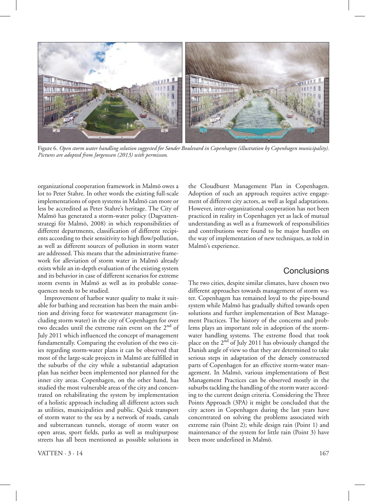![](_page_8_Picture_0.jpeg)

Figure 6. *Open storm water handling solution suggested for Sønder Boulevard in Copenhagen (illustration by Copenhagen municipality). Pictures are adopted from Jørgenssen (2013) with permisson*.

organizational cooperation framework in Malmö owes a lot to Peter Stahre. In other words the existing full-scale implementations of open systems in Malmö can more or less be accredited as Peter Stahre's heritage. The City of Malmö has generated a storm-water policy (Dagvattenstrategi för Malmö, 2008) in which responsibilities of different departments, classification of different recipients according to their sensitivity to high flow/pollution, as well as different sources of pollution in storm water are addressed. This means that the administrative framework for alleviation of storm water in Malmö already exists while an in-depth evaluation of the existing system and its behavior in case of different scenarios for extreme storm events in Malmö as well as its probable consequences needs to be studied.

Improvement of harbor water quality to make it suitable for bathing and recreation has been the main ambition and driving force for wastewater management (including storm water) in the city of Copenhagen for over two decades until the extreme rain event on the  $2<sup>nd</sup>$  of July 2011 which influenced the concept of management fundamentally. Comparing the evolution of the two cities regarding storm-water plans it can be observed that most of the large-scale projects in Malmö are fulfilled in the suburbs of the city while a substantial adaptation plan has neither been implemented nor planned for the inner city areas. Copenhagen, on the other hand, has studied the most vulnerable areas of the city and concentrated on rehabilitating the system by implementation of a holistic approach including all different actors such as utilities, municipalities and public. Quick transport of storm water to the sea by a network of roads, canals and subterranean tunnels, storage of storm water on open areas, sport fields, parks as well as multipurpose streets has all been mentioned as possible solutions in

VATTEN  $\cdot$  3  $\cdot$  14 167

the Cloudburst Management Plan in Copenhagen. Adoption of such an approach requires active engagement of different city actors, as well as legal adaptations. However, inter-organizational cooperation has not been practiced in reality in Copenhagen yet as lack of mutual understanding as well as a framework of responsibilities and contributions were found to be major hurdles on the way of implementation of new techniques, as told in Malmö's experience.

### **Conclusions**

The two cities, despite similar climates, have chosen two different approaches towards management of storm water. Copenhagen has remained loyal to the pipe-bound system while Malmö has gradually shifted towards open solutions and further implementation of Best Management Practices. The history of the concerns and problems plays an important role in adoption of the stormwater handling systems. The extreme flood that took place on the  $2^{\overline{nd}}$  of July 2011 has obviously changed the Danish angle of view so that they are determined to take serious steps in adaptation of the densely constructed parts of Copenhagen for an effective storm-water management. In Malmö, various implementations of Best Management Practices can be observed mostly in the suburbs tackling the handling of the storm water according to the current design criteria. Considering the Three Points Approach (3PA) it might be concluded that the city actors in Copenhagen during the last years have concentrated on solving the problems associated with extreme rain (Point 2); while design rain (Point 1) and maintenance of the system for little rain (Point 3) have been more underlined in Malmö.